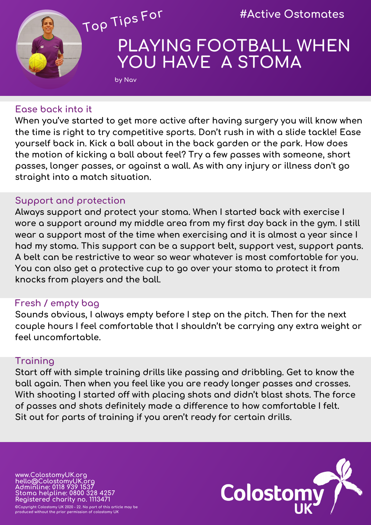

# **PLAYING FOOTBALL WHEN YOU HAVE A STOMA**

### **Ease back into it**

**by Nav** 

**When you've started to get more active after having surgery you will know when the time is right to try competitive sports. Don't rush in with a slide tackle! Ease yourself back in. Kick a ball about in the back garden or the park. How does the motion of kicking a ball about feel? Try a few passes with someone, short passes, longer passes, or against a wall. As with any injury or illness don't go straight into a match situation.**

#### **Support and protection**

**Always support and protect your stoma. When I started back with exercise I wore a support around my middle area from my first day back in the gym. I still wear a support most of the time when exercising and it is almost a year since I had my stoma. This support can be a support belt, support vest, support pants. A belt can be restrictive to wear so wear whatever is most comfortable for you. You can also get a protective cup to go over your stoma to protect it from knocks from players and the ball.**

#### **Fresh / empty bag**

**Sounds obvious, I always empty before I step on the pitch. Then for the next couple hours I feel comfortable that I shouldn't be carrying any extra weight or feel uncomfortable.**

#### **Training**

**Start off with simple training drills like passing and dribbling. Get to know the ball again. Then when you feel like you are ready longer passes and crosses. With shooting I started off with placing shots and didn't blast shots. The force of passes and shots definitely made a difference to how comfortable I felt. Sit out for parts of training if you aren't ready for certain drills.**

**www.ColostomyUK.org hello@ColostomyUK.org Adminline: 0118 939 1537 Stoma helpline: 0800 328 4257 Registered charity no. 1113471 ©Copyright Colostomy UK 2020 - 22. No part of this article may be** 

**produced without the prior permission of colostomy UK**